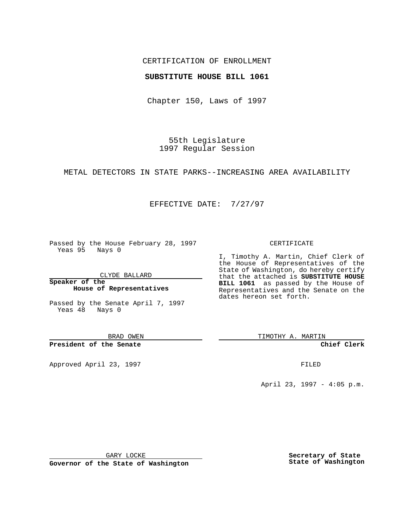# CERTIFICATION OF ENROLLMENT

# **SUBSTITUTE HOUSE BILL 1061**

Chapter 150, Laws of 1997

55th Legislature 1997 Regular Session

METAL DETECTORS IN STATE PARKS--INCREASING AREA AVAILABILITY

# EFFECTIVE DATE: 7/27/97

Passed by the House February 28, 1997 Yeas 95 Nays 0

CLYDE BALLARD

**Speaker of the House of Representatives**

Passed by the Senate April 7, 1997 Yeas 48 Nays 0

BRAD OWEN

**President of the Senate**

Approved April 23, 1997 FILED

### CERTIFICATE

I, Timothy A. Martin, Chief Clerk of the House of Representatives of the State of Washington, do hereby certify that the attached is **SUBSTITUTE HOUSE BILL 1061** as passed by the House of Representatives and the Senate on the dates hereon set forth.

TIMOTHY A. MARTIN

**Chief Clerk**

April 23, 1997 - 4:05 p.m.

GARY LOCKE

**Governor of the State of Washington**

**Secretary of State State of Washington**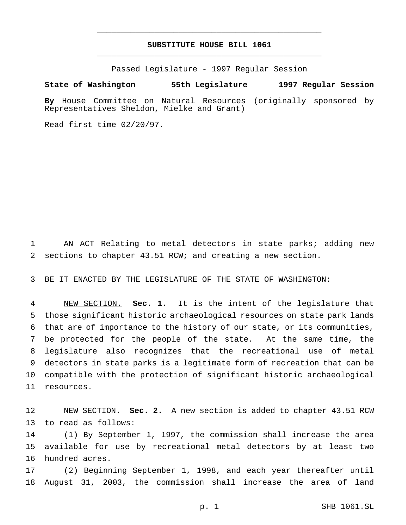# **SUBSTITUTE HOUSE BILL 1061** \_\_\_\_\_\_\_\_\_\_\_\_\_\_\_\_\_\_\_\_\_\_\_\_\_\_\_\_\_\_\_\_\_\_\_\_\_\_\_\_\_\_\_\_\_\_\_

\_\_\_\_\_\_\_\_\_\_\_\_\_\_\_\_\_\_\_\_\_\_\_\_\_\_\_\_\_\_\_\_\_\_\_\_\_\_\_\_\_\_\_\_\_\_\_

Passed Legislature - 1997 Regular Session

#### **State of Washington 55th Legislature 1997 Regular Session**

**By** House Committee on Natural Resources (originally sponsored by Representatives Sheldon, Mielke and Grant)

Read first time 02/20/97.

 AN ACT Relating to metal detectors in state parks; adding new sections to chapter 43.51 RCW; and creating a new section.

BE IT ENACTED BY THE LEGISLATURE OF THE STATE OF WASHINGTON:

 NEW SECTION. **Sec. 1.** It is the intent of the legislature that those significant historic archaeological resources on state park lands that are of importance to the history of our state, or its communities, be protected for the people of the state. At the same time, the legislature also recognizes that the recreational use of metal detectors in state parks is a legitimate form of recreation that can be compatible with the protection of significant historic archaeological resources.

 NEW SECTION. **Sec. 2.** A new section is added to chapter 43.51 RCW to read as follows:

 (1) By September 1, 1997, the commission shall increase the area available for use by recreational metal detectors by at least two hundred acres.

 (2) Beginning September 1, 1998, and each year thereafter until August 31, 2003, the commission shall increase the area of land